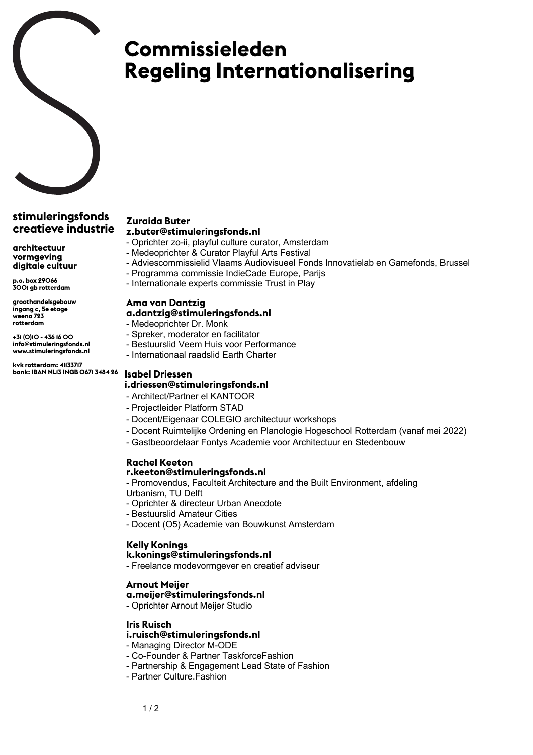# **Commissieleden Regeling Internationalisering**

## **stimuleringsfonds creatieve industrie**

**architectuur vormgeving digitale cultuur**

**p.o. box 29066 3001 gb rotterdam**

**groothandelsgebouw ingang c, 5e etage weena 723 rotterdam**

**+31 (0)10 - 436 16 00 info@stimuleringsfonds.nl www.stimuleringsfonds.nl**

**kvk rotterdam: 41133717 bank: IBAN NL13 INGB 0671 3484 26**

#### **Zuraida Buter z.buter@stimuleringsfonds.nl**

- Oprichter zo-ii, playful culture curator, Amsterdam
- Medeoprichter & Curator Playful Arts Festival
- Adviescommissielid Vlaams Audiovisueel Fonds Innovatielab en Gamefonds, Brussel
- Programma commissie IndieCade Europe, Parijs
- Internationale experts commissie Trust in Play

#### **Ama van Dantzig**

### **a.dantzig@stimuleringsfonds.nl**

- Medeoprichter Dr. Monk
- Spreker, moderator en facilitator
- Bestuurslid Veem Huis voor Performance
- Internationaal raadslid Earth Charter

#### **Isabel Driessen**

#### **i.driessen@stimuleringsfonds.nl**

- Architect/Partner el KANTOOR
- Projectleider Platform STAD
- Docent/Eigenaar COLEGIO architectuur workshops
- Docent Ruimtelijke Ordening en Planologie Hogeschool Rotterdam (vanaf mei 2022)
- Gastbeoordelaar Fontys Academie voor Architectuur en Stedenbouw

# **Rachel Keeton**

### **r.keeton@stimuleringsfonds.nl**

- Promovendus, Faculteit Architecture and the Built Environment, afdeling
- Urbanism, TU Delft
- Oprichter & directeur Urban Anecdote
- Bestuurslid Amateur Cities
- Docent (O5) Academie van Bouwkunst Amsterdam

#### **Kelly Konings**

#### **k.konings@stimuleringsfonds.nl**

- Freelance modevormgever en creatief adviseur

# **Arnout Meijer**

#### **a.meijer@stimuleringsfonds.nl**

- Oprichter Arnout Meijer Studio

# **Iris Ruisch**

# **i.ruisch@stimuleringsfonds.nl**

- Managing Director M-ODE
- Co-Founder & Partner TaskforceFashion
- Partnership & Engagement Lead State of Fashion
- Partner Culture.Fashion